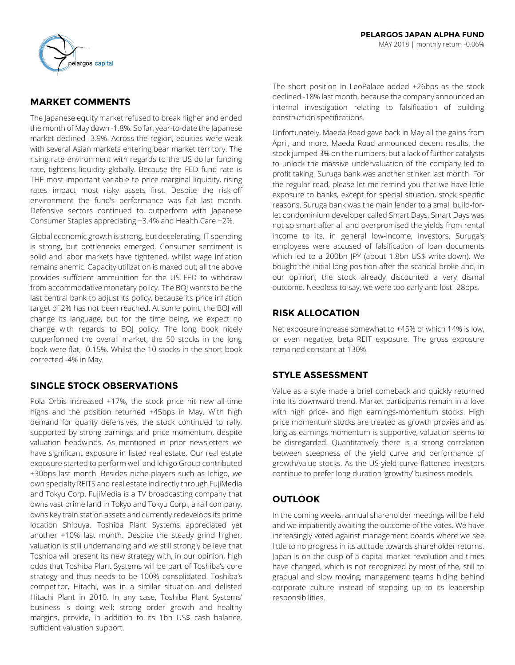

# **MARKET COMMENTS**

The Japanese equity market refused to break higher and ended the month of May down -1.8%. So far, year-to-date the Japanese market declined -3.9%. Across the region, equities were weak with several Asian markets entering bear market territory. The rising rate environment with regards to the US dollar funding rate, tightens liquidity globally. Because the FED fund rate is THE most important variable to price marginal liquidity, rising rates impact most risky assets first. Despite the risk-off environment the fund's performance was flat last month. Defensive sectors continued to outperform with Japanese Consumer Staples appreciating +3.4% and Health Care +2%.

Global economic growth is strong, but decelerating. IT spending is strong, but bottlenecks emerged. Consumer sentiment is solid and labor markets have tightened, whilst wage inflation remains anemic. Capacity utilization is maxed out; all the above provides sufficient ammunition for the US FED to withdraw from accommodative monetary policy. The BOJ wants to be the last central bank to adjust its policy, because its price inflation target of 2% has not been reached. At some point, the BOJ will change its language, but for the time being, we expect no change with regards to BOJ policy. The long book nicely outperformed the overall market, the 50 stocks in the long book were flat, -0.15%. Whilst the 10 stocks in the short book corrected -4% in May.

# **SINGLE STOCK OBSERVATIONS**

Pola Orbis increased +17%, the stock price hit new all-time highs and the position returned +45bps in May. With high demand for quality defensives, the stock continued to rally, supported by strong earnings and price momentum, despite valuation headwinds. As mentioned in prior newsletters we have significant exposure in listed real estate. Our real estate exposure started to perform well and Ichigo Group contributed +30bps last month. Besides niche-players such as Ichigo, we own specialty REITS and real estate indirectly through FujiMedia and Tokyu Corp. FujiMedia is a TV broadcasting company that owns vast prime land in Tokyo and Tokyu Corp., a rail company, owns key train station assets and currently redevelops its prime location Shibuya. Toshiba Plant Systems appreciated yet another +10% last month. Despite the steady grind higher, valuation is still undemanding and we still strongly believe that Toshiba will present its new strategy with, in our opinion, high odds that Toshiba Plant Systems will be part of Toshiba's core strategy and thus needs to be 100% consolidated. Toshiba's competitor, Hitachi, was in a similar situation and delisted Hitachi Plant in 2010. In any case, Toshiba Plant Systems' business is doing well; strong order growth and healthy margins, provide, in addition to its 1bn US\$ cash balance, sufficient valuation support.

The short position in LeoPalace added +26bps as the stock declined -18% last month, because the company announced an internal investigation relating to falsification of building construction specifications.

Unfortunately, Maeda Road gave back in May all the gains from April, and more. Maeda Road announced decent results, the stock jumped 3% on the numbers, but a lack of further catalysts to unlock the massive undervaluation of the company led to profit taking. Suruga bank was another stinker last month. For the regular read, please let me remind you that we have little exposure to banks, except for special situation, stock specific reasons. Suruga bank was the main lender to a small build-forlet condominium developer called Smart Days. Smart Days was not so smart after all and overpromised the yields from rental income to its, in general low-income, investors. Suruga's employees were accused of falsification of loan documents which led to a 200bn JPY (about 1.8bn US\$ write-down). We bought the initial long position after the scandal broke and, in our opinion, the stock already discounted a very dismal outcome. Needless to say, we were too early and lost -28bps.

## **RISK ALLOCATION**

Net exposure increase somewhat to +45% of which 14% is low, or even negative, beta REIT exposure. The gross exposure remained constant at 130%.

# **STYLE ASSESSMENT**

Value as a style made a brief comeback and quickly returned into its downward trend. Market participants remain in a love with high price- and high earnings-momentum stocks. High price momentum stocks are treated as growth proxies and as long as earnings momentum is supportive, valuation seems to be disregarded. Quantitatively there is a strong correlation between steepness of the yield curve and performance of growth/value stocks. As the US yield curve flattened investors continue to prefer long duration 'growthy' business models.

# **OUTLOOK**

In the coming weeks, annual shareholder meetings will be held and we impatiently awaiting the outcome of the votes. We have increasingly voted against management boards where we see little to no progress in its attitude towards shareholder returns. Japan is on the cusp of a capital market revolution and times have changed, which is not recognized by most of the, still to gradual and slow moving, management teams hiding behind corporate culture instead of stepping up to its leadership responsibilities.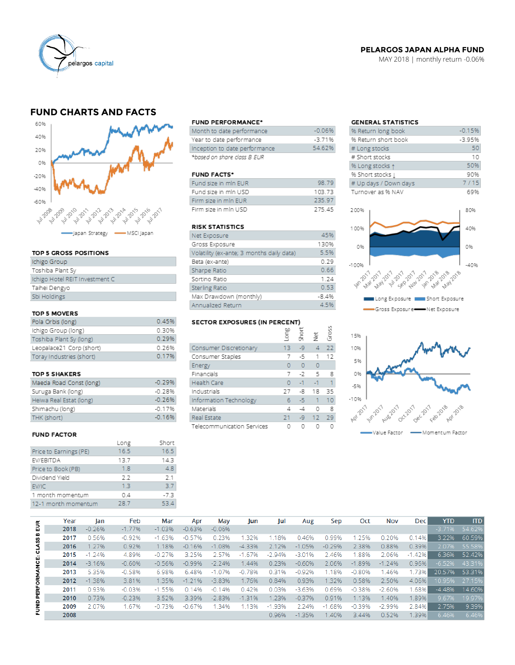

## **PELARGOS JAPAN ALPHA FUND**

MAY 2018 | monthly return -0.06%

## **FUND CHARTS AND FACTS**



#### TOP 5 GROSS POSITIONS

| Ichigo Group                   |  |
|--------------------------------|--|
| Toshiba Plant Sy               |  |
| Ichigo Hotel REIT Investment C |  |
| Taihei Dengyo                  |  |
| Sbi Holdings                   |  |

#### TOP 5 MOVERS

| Pola Orbis (long)        | 0.45% |
|--------------------------|-------|
| Ichigo Group (long)      | 0.30% |
| Toshiba Plant Sy (long)  | 0.29% |
| Leopalace21 Corp (short) | 0.26% |
| Toray Industries (short) | 0.17% |

#### TOP 5 SHAKERS

| Maeda Road Const (long) | $-0.29%$ |
|-------------------------|----------|
| Suruga Bank (long)      | $-0.28%$ |
| Heiwa Real Estat (long) | $-0.26%$ |
| Shimachu (long)         | $-0.17%$ |
| THK (short)             | $-0.16%$ |

#### **FUND FACTOR**

|                        | Long | Short  |
|------------------------|------|--------|
| Price to Earnings (PE) | 16.5 | 16.5   |
| EV/EBITDA              | 13.7 | 14.3   |
| Price to Book (PB)     | 1.8  | 4.8    |
| Dividend Yield         | 2.2  | 2.1    |
| EV/IC                  | 13   | 37     |
| 1 month momentum       | 0.4  | $-7.3$ |
| 12-1 month momentum    | 28.7 | 53.4   |
|                        |      |        |

#### **FUND PERFORMANCE\***

| Month to date performance     | $-0.06%$ |
|-------------------------------|----------|
| Year to date performance      | $-3.71%$ |
| Inception to date performance | 54.62%   |
| *based on share class B EUR   |          |

#### **FUND FACTS\***

| Fund size in min EUR | 98.79  |
|----------------------|--------|
| Fund size in min USD | 103 73 |
| Firm size in min EUR | 235.97 |
| Firm size in mln USD | 775 45 |

### **RISK STATISTICS**

| Net Exposure                              | 45%     |
|-------------------------------------------|---------|
| Gross Exposure                            | 130%    |
| Volatility (ex-ante; 3 months daily data) | 5.5%    |
| Beta (ex-ante)                            | 0.29    |
| Sharpe Ratio                              | 0.66    |
| Sortino Ratio                             | 1.24    |
| Sterling Ratio                            | 0.53    |
| Max Drawdown (monthly)                    | $-8.4%$ |
| Annualized Return                         | 4.5%    |

# SECTOR EXPOSURES (IN PERCENT)

|                            | ξ  | ە<br>Shor | ğ            | ğ  |
|----------------------------|----|-----------|--------------|----|
| Consumer Discretionary     | 13 | Lg        | 4            | 22 |
| Consumer Staples           | 7  | -5        | 1            | 12 |
| Energy                     | 0  | O         | $\circ$      |    |
| Financials                 | 7  | $-7$      | -5           | g  |
| Health Care                | O  | $-1$      | $-1$         | 1  |
| Industrials                | 77 | -8        | 18           | 35 |
| Information Technology     | 6  | $-51$     | $\mathbf{1}$ | 10 |
| Materials                  | 4  | -4        | n            | 8  |
| Real Estate                | 21 | -9        | 12           | 29 |
| Telecommunication Services |    |           |              |    |

 $\overline{2}$ 

## **GENERAL STATISTICS**

| % Return long book    | $-0.15%$ |
|-----------------------|----------|
| % Return short book   | $-3.95%$ |
| # Long stocks         | 50       |
| # Short stocks        | 10       |
| % Long stocks 1       | 50%      |
| % Short stocks        | 90%      |
| # Up days / Down days | 7/15     |
| Turnover as % NAV     | 69%      |
|                       |          |
|                       |          |





|                   | Year | lan      | Feb      | Mar      | Apr      | May       | Jun      | Jul      | Aug      | Sep      | Oct      | <b>Nov</b> | <b>Dec</b> | <b>YTD</b> | <b>ITD</b> |
|-------------------|------|----------|----------|----------|----------|-----------|----------|----------|----------|----------|----------|------------|------------|------------|------------|
| 틦                 | 2018 | $-0.26%$ | $-1.77%$ | $-1.03%$ | $-0.63%$ | $-0.06%$  |          |          |          |          |          |            |            | $-3.71%$   | 54.62%     |
|                   | 2017 | 0.56%    | $-0.92%$ | $-1.63%$ | $-0.57%$ | 0.23%     | .32%     | 1.18%    | 0.46%    | 0.99%    | 1.25%    | 0.20%      | 0.14%      | 3.22%      | 60.59%     |
| <b>CLASS B</b>    | 2016 | 1.27%    | 0.92%    | 1.18%    | $-0.16%$ | $-1.08%$  | $-4.33%$ | 2.12%    | $-1.05%$ | $-0.29%$ | 2.38%    | 0.88%      | 0.39%      | 2.07%      | 55.58%     |
|                   | 2015 | $-1.24%$ | 4.89%    | $-0.27%$ | 3.25%    | 2.57%     | $-1.67%$ | $-2.94%$ | $-3.01%$ | 2.46%    | .88%     | 2.06%      | $-1.42%$   | 6.36%      | 52.42%     |
|                   | 2014 | $-3.16%$ | $-0.60%$ | $-0.56%$ | $-0.99%$ | $-2, 24%$ | 1.44%    | 0.23%    | $-0.60%$ | 2.06%    | $-1.89%$ | $-1.24%$   | 0.96%      | $-6.52%$   | 43.31%     |
|                   | 2013 | 5.35%    | $-0.58%$ | 6.98%    | 6.48%    | $-1.07%$  | $-0.78%$ | 0.31%    | $-0.92%$ | 1.18%    | $-0.80%$ | 1.46%      | 1.73%      | 20.57%     | 53.31%     |
|                   | 2012 | $-1.38%$ | 3.81%    | 1.35%    | $-1.21%$ | $-3.83%$  | 1.76%    | 0.84%    | 0.93%    | 1.32%    | 0.58%    | 2.50%      | 4.06%      | 10.95%     | 27.15%     |
| FUND PERFORMANCE: | 2011 | 0.93%    | $-0.03%$ | $-1.55%$ | 0.14%    | $-0.14%$  | 0.42%    | 0.03%    | $-3.63%$ | 0.69%    | $-0.38%$ | $-2.60%$   | .68%       | $-4.48%$   | 14.60%     |
|                   | 2010 | 0.73%    | $-0.23%$ | 3.52%    | 3.39%    | $-2.83%$  | $-1.31%$ | 1.23%    | $-0.37%$ | 0.91%    | 1.13%    | 1.40%      | 1.89%      | 9.67%      | 19.97%     |
|                   | 2009 | 2.07%    | 1.67%    | $-0.73%$ | $-0.67%$ | 34%       | 1.13%    | $-1.93%$ | 2.24%    | $-1.68%$ | $-0.39%$ | $-2.99%$   | 2.84%      | 2.75%      | 9.39%      |
|                   | 2008 |          |          |          |          |           |          | 0.96%    | $-1.35%$ | 1.40%    | 3.44%    | 0.52%      | 1.39%      | 6.46%      | 6.46%      |